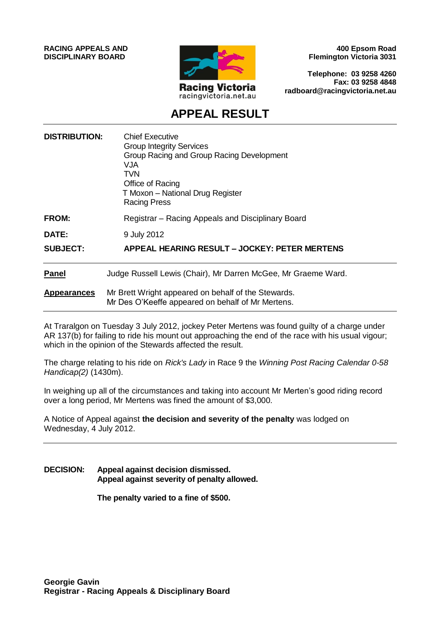**RACING APPEALS AND DISCIPLINARY BOARD**



**400 Epsom Road Flemington Victoria 3031**

**Telephone: 03 9258 4260 Fax: 03 9258 4848 radboard@racingvictoria.net.au**

# **APPEAL RESULT**

| <b>Chief Executive</b><br><b>Group Integrity Services</b><br>Group Racing and Group Racing Development<br><b>VJA</b><br><b>TVN</b><br>Office of Racing<br>T Moxon - National Drug Register<br><b>Racing Press</b> |
|-------------------------------------------------------------------------------------------------------------------------------------------------------------------------------------------------------------------|
| Registrar – Racing Appeals and Disciplinary Board                                                                                                                                                                 |
| 9 July 2012                                                                                                                                                                                                       |
| APPEAL HEARING RESULT - JOCKEY: PETER MERTENS                                                                                                                                                                     |
| Judge Russell Lewis (Chair), Mr Darren McGee, Mr Graeme Ward.                                                                                                                                                     |
| Mr Brett Wright appeared on behalf of the Stewards.<br>Mr Des O'Keeffe appeared on behalf of Mr Mertens.                                                                                                          |
|                                                                                                                                                                                                                   |

At Traralgon on Tuesday 3 July 2012, jockey Peter Mertens was found guilty of a charge under AR 137(b) for failing to ride his mount out approaching the end of the race with his usual vigour; which in the opinion of the Stewards affected the result.

The charge relating to his ride on *Rick's Lady* in Race 9 the *Winning Post Racing Calendar 0-58 Handicap(2)* (1430m).

In weighing up all of the circumstances and taking into account Mr Merten's good riding record over a long period, Mr Mertens was fined the amount of \$3,000.

A Notice of Appeal against **the decision and severity of the penalty** was lodged on Wednesday, 4 July 2012.

**DECISION: Appeal against decision dismissed. Appeal against severity of penalty allowed.**

**The penalty varied to a fine of \$500.**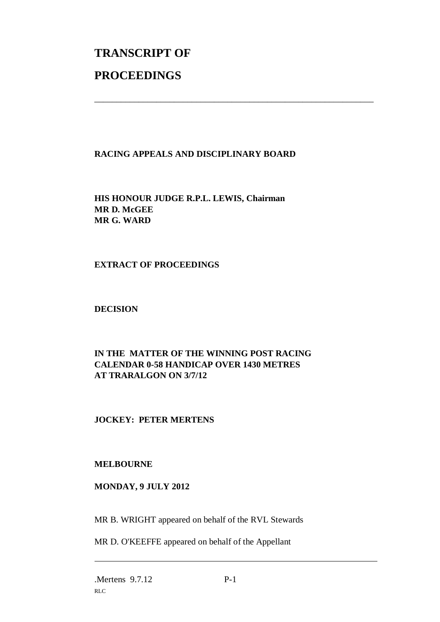# **TRANSCRIPT OF PROCEEDINGS**

# **RACING APPEALS AND DISCIPLINARY BOARD**

\_\_\_\_\_\_\_\_\_\_\_\_\_\_\_\_\_\_\_\_\_\_\_\_\_\_\_\_\_\_\_\_\_\_\_\_\_\_\_\_\_\_\_\_\_\_\_\_\_\_\_\_\_\_\_\_\_\_\_\_\_\_\_

**HIS HONOUR JUDGE R.P.L. LEWIS, Chairman MR D. McGEE MR G. WARD**

## **EXTRACT OF PROCEEDINGS**

## **DECISION**

# **IN THE MATTER OF THE WINNING POST RACING CALENDAR 0-58 HANDICAP OVER 1430 METRES AT TRARALGON ON 3/7/12**

# **JOCKEY: PETER MERTENS**

## **MELBOURNE**

## **MONDAY, 9 JULY 2012**

MR B. WRIGHT appeared on behalf of the RVL Stewards

MR D. O'KEEFFE appeared on behalf of the Appellant